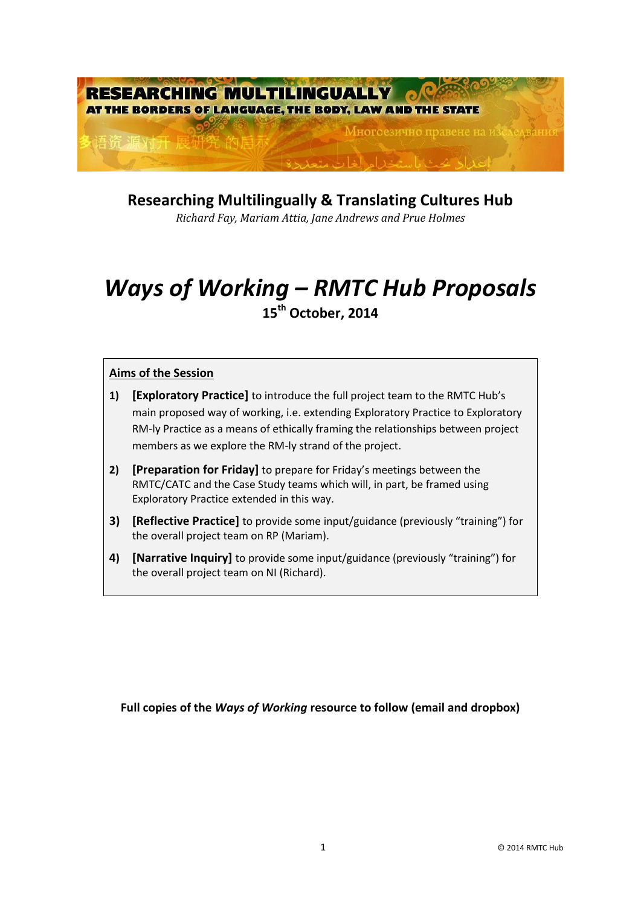

**Researching Multilingually & Translating Cultures Hub**

*Richard Fay, Mariam Attia, Jane Andrews and Prue Holmes* 

# *Ways of Working – RMTC Hub Proposals* **15th October, 2014**

# **Aims of the Session**

- **1) [Exploratory Practice]** to introduce the full project team to the RMTC Hub's main proposed way of working, i.e. extending Exploratory Practice to Exploratory RM-ly Practice as a means of ethically framing the relationships between project members as we explore the RM-ly strand of the project.
- **2) [Preparation for Friday]** to prepare for Friday's meetings between the RMTC/CATC and the Case Study teams which will, in part, be framed using Exploratory Practice extended in this way.
- **3) [Reflective Practice]** to provide some input/guidance (previously "training") for the overall project team on RP (Mariam).
- **4) [Narrative Inquiry]** to provide some input/guidance (previously "training") for the overall project team on NI (Richard).

**Full copies of the** *Ways of Working* **resource to follow (email and dropbox)**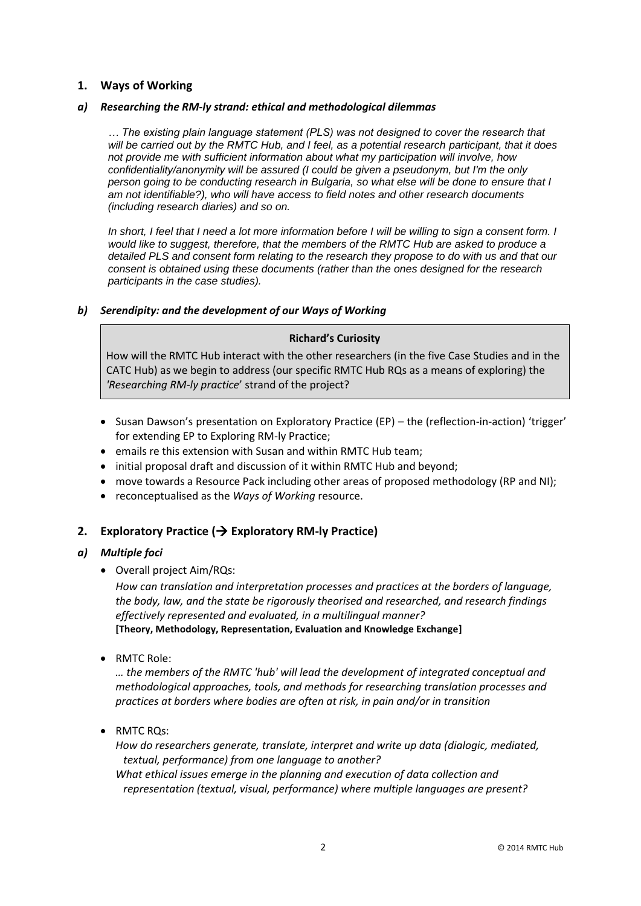# **1. Ways of Working**

#### *a) Researching the RM-ly strand: ethical and methodological dilemmas*

*… The existing plain language statement (PLS) was not designed to cover the research that will be carried out by the RMTC Hub, and I feel, as a potential research participant, that it does not provide me with sufficient information about what my participation will involve, how confidentiality/anonymity will be assured (I could be given a pseudonym, but I'm the only person going to be conducting research in Bulgaria, so what else will be done to ensure that I am not identifiable?), who will have access to field notes and other research documents (including research diaries) and so on.*

*In short, I feel that I need a lot more information before I will be willing to sign a consent form. I would like to suggest, therefore, that the members of the RMTC Hub are asked to produce a detailed PLS and consent form relating to the research they propose to do with us and that our consent is obtained using these documents (rather than the ones designed for the research participants in the case studies).* 

#### *b) Serendipity: and the development of our Ways of Working*

#### **Richard's Curiosity**

How will the RMTC Hub interact with the other researchers (in the five Case Studies and in the CATC Hub) as we begin to address (our specific RMTC Hub RQs as a means of exploring) the *'Researching RM-ly practice*' strand of the project?

- Susan Dawson's presentation on Exploratory Practice (EP) the (reflection-in-action) 'trigger' for extending EP to Exploring RM-ly Practice;
- emails re this extension with Susan and within RMTC Hub team;
- initial proposal draft and discussion of it within RMTC Hub and beyond;
- move towards a Resource Pack including other areas of proposed methodology (RP and NI);
- reconceptualised as the *Ways of Working* resource.

## **2. Exploratory Practice ( Exploratory RM-ly Practice)**

## *a) Multiple foci*

Overall project Aim/RQs:

*How can translation and interpretation processes and practices at the borders of language, the body, law, and the state be rigorously theorised and researched, and research findings effectively represented and evaluated, in a multilingual manner?* **[Theory, Methodology, Representation, Evaluation and Knowledge Exchange]**

• RMTC Role:

*… the members of the RMTC 'hub' will lead the development of integrated conceptual and methodological approaches, tools, and methods for researching translation processes and practices at borders where bodies are often at risk, in pain and/or in transition*

• RMTC ROs:

*How do researchers generate, translate, interpret and write up data (dialogic, mediated, textual, performance) from one language to another?* 

*What ethical issues emerge in the planning and execution of data collection and representation (textual, visual, performance) where multiple languages are present?*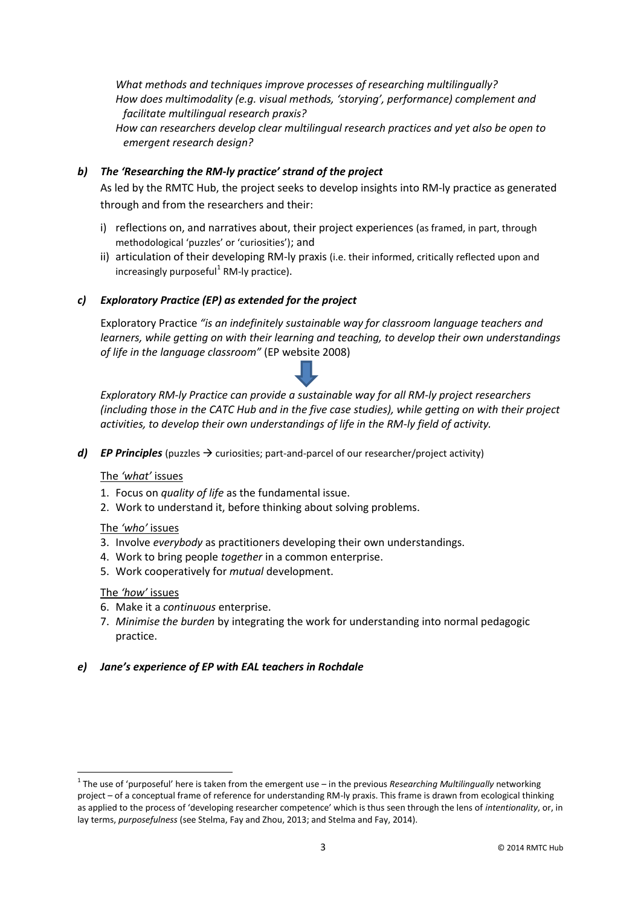*What methods and techniques improve processes of researching multilingually? How does multimodality (e.g. visual methods, 'storying', performance) complement and facilitate multilingual research praxis?* 

*How can researchers develop clear multilingual research practices and yet also be open to emergent research design?*

# *b) The 'Researching the RM-ly practice' strand of the project*

As led by the RMTC Hub, the project seeks to develop insights into RM-ly practice as generated through and from the researchers and their:

- i) reflections on, and narratives about, their project experiences (as framed, in part, through methodological 'puzzles' or 'curiosities'); and
- ii) articulation of their developing RM-ly praxis (i.e. their informed, critically reflected upon and increasingly purposeful<sup>1</sup> RM-ly practice).

# *c) Exploratory Practice (EP) as extended for the project*

Exploratory Practice *"is an indefinitely sustainable way for classroom language teachers and learners, while getting on with their learning and teaching, to develop their own understandings of life in the language classroom"* (EP website 2008)

*Exploratory RM-ly Practice can provide a sustainable way for all RM-ly project researchers (including those in the CATC Hub and in the five case studies), while getting on with their project activities, to develop their own understandings of life in the RM-ly field of activity.*

*d) EP Principles* (puzzles  $\rightarrow$  curiosities; part-and-parcel of our researcher/project activity)

#### The *'what'* issues

- 1. Focus on *quality of life* as the fundamental issue.
- 2. Work to understand it, before thinking about solving problems.

#### The *'who'* issues

- 3. Involve *everybody* as practitioners developing their own understandings.
- 4. Work to bring people *together* in a common enterprise.
- 5. Work cooperatively for *mutual* development.

#### The *'how'* issues

1

- 6. Make it a *continuous* enterprise.
- 7. *Minimise the burden* by integrating the work for understanding into normal pedagogic practice.

## *e) Jane's experience of EP with EAL teachers in Rochdale*

<sup>1</sup> The use of 'purposeful' here is taken from the emergent use – in the previous *Researching Multilingually* networking project – of a conceptual frame of reference for understanding RM-ly praxis. This frame is drawn from ecological thinking as applied to the process of 'developing researcher competence' which is thus seen through the lens of *intentionality*, or, in lay terms, *purposefulness* (see Stelma, Fay and Zhou, 2013; and Stelma and Fay, 2014).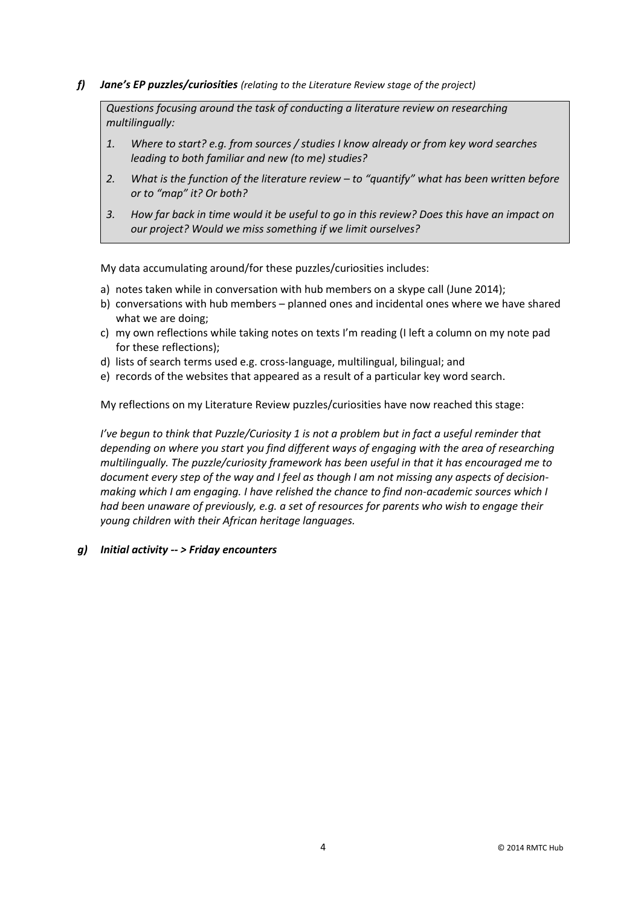*f) Jane's EP puzzles/curiosities (relating to the Literature Review stage of the project)*

*Questions focusing around the task of conducting a literature review on researching multilingually:*

- *1. Where to start? e.g. from sources / studies I know already or from key word searches leading to both familiar and new (to me) studies?*
- *2. What is the function of the literature review – to "quantify" what has been written before or to "map" it? Or both?*
- *3. How far back in time would it be useful to go in this review? Does this have an impact on our project? Would we miss something if we limit ourselves?*

My data accumulating around/for these puzzles/curiosities includes:

- a) notes taken while in conversation with hub members on a skype call (June 2014);
- b) conversations with hub members planned ones and incidental ones where we have shared what we are doing;
- c) my own reflections while taking notes on texts I'm reading (I left a column on my note pad for these reflections);
- d) lists of search terms used e.g. cross-language, multilingual, bilingual; and
- e) records of the websites that appeared as a result of a particular key word search.

My reflections on my Literature Review puzzles/curiosities have now reached this stage:

*I've begun to think that Puzzle/Curiosity 1 is not a problem but in fact a useful reminder that depending on where you start you find different ways of engaging with the area of researching multilingually. The puzzle/curiosity framework has been useful in that it has encouraged me to document every step of the way and I feel as though I am not missing any aspects of decisionmaking which I am engaging. I have relished the chance to find non-academic sources which I had been unaware of previously, e.g. a set of resources for parents who wish to engage their young children with their African heritage languages.* 

## *g) Initial activity -- > Friday encounters*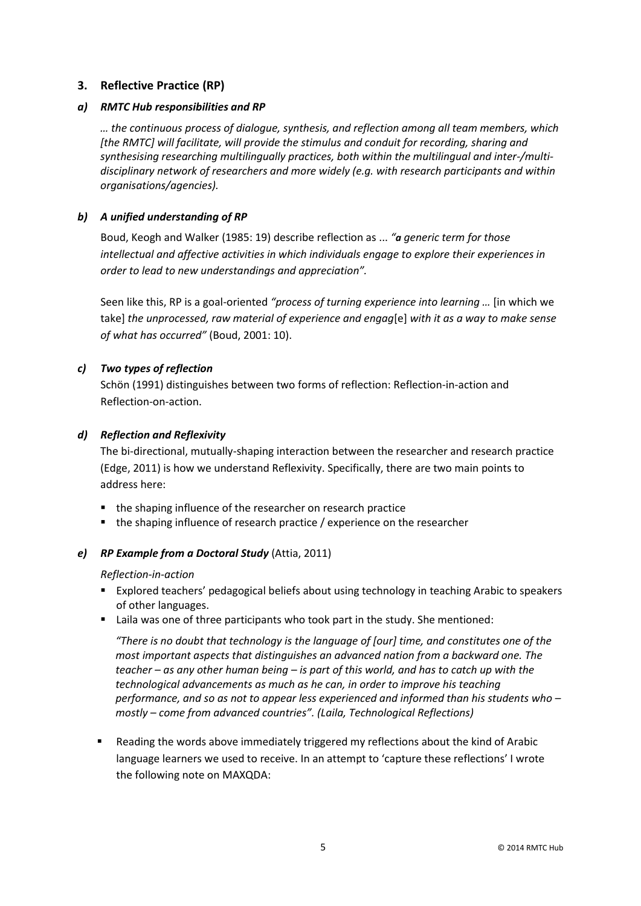# **3. Reflective Practice (RP)**

# *a) RMTC Hub responsibilities and RP*

*… the continuous process of dialogue, synthesis, and reflection among all team members, which [the RMTC] will facilitate, will provide the stimulus and conduit for recording, sharing and synthesising researching multilingually practices, both within the multilingual and inter-/multidisciplinary network of researchers and more widely (e.g. with research participants and within organisations/agencies).* 

# *b) A unified understanding of RP*

Boud, Keogh and Walker (1985: 19) describe reflection as ... *"a generic term for those intellectual and affective activities in which individuals engage to explore their experiences in order to lead to new understandings and appreciation".*

Seen like this, RP is a goal-oriented *"process of turning experience into learning …* [in which we take] *the unprocessed, raw material of experience and engag*[e] *with it as a way to make sense of what has occurred"* (Boud, 2001: 10).

# *c) Two types of reflection*

Schön (1991) distinguishes between two forms of reflection: Reflection-in-action and Reflection-on-action.

# *d) Reflection and Reflexivity*

The bi-directional, mutually-shaping interaction between the researcher and research practice (Edge, 2011) is how we understand Reflexivity. Specifically, there are two main points to address here:

- the shaping influence of the researcher on research practice
- the shaping influence of research practice / experience on the researcher

# *e) RP Example from a Doctoral Study* (Attia, 2011)

## *Reflection-in-action*

- Explored teachers' pedagogical beliefs about using technology in teaching Arabic to speakers of other languages.
- Laila was one of three participants who took part in the study. She mentioned:

*"There is no doubt that technology is the language of [our] time, and constitutes one of the most important aspects that distinguishes an advanced nation from a backward one. The teacher – as any other human being – is part of this world, and has to catch up with the technological advancements as much as he can, in order to improve his teaching performance, and so as not to appear less experienced and informed than his students who – mostly – come from advanced countries". (Laila, Technological Reflections)*

 Reading the words above immediately triggered my reflections about the kind of Arabic language learners we used to receive. In an attempt to 'capture these reflections' I wrote the following note on MAXQDA: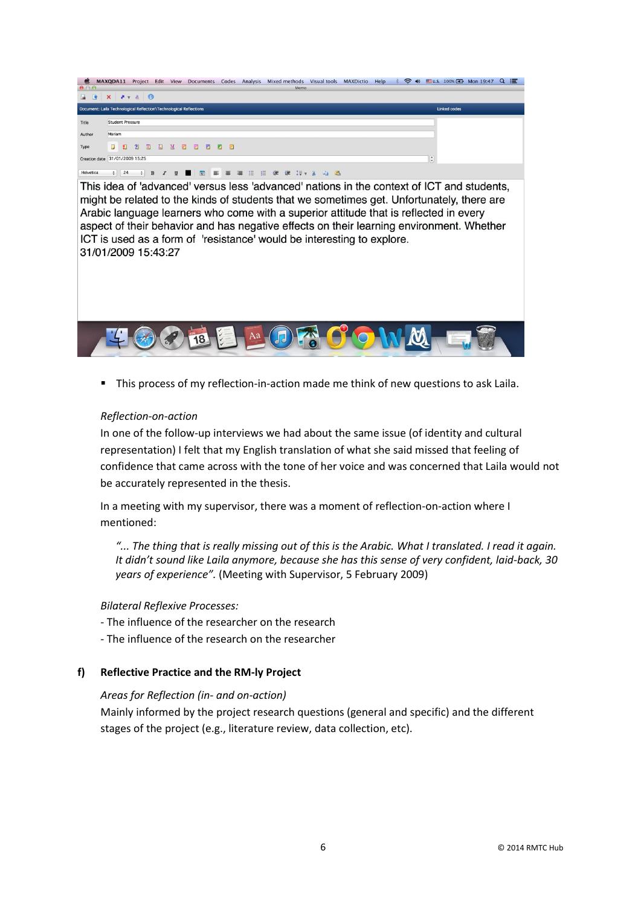

This process of my reflection-in-action made me think of new questions to ask Laila.

# *Reflection-on-action*

In one of the follow-up interviews we had about the same issue (of identity and cultural representation) I felt that my English translation of what she said missed that feeling of confidence that came across with the tone of her voice and was concerned that Laila would not be accurately represented in the thesis.

In a meeting with my supervisor, there was a moment of reflection-on-action where I mentioned:

*"... The thing that is really missing out of this is the Arabic. What I translated. I read it again. It didn't sound like Laila anymore, because she has this sense of very confident, laid-back, 30 years of experience".* (Meeting with Supervisor, 5 February 2009)

## *Bilateral Reflexive Processes:*

- The influence of the researcher on the research
- The influence of the research on the researcher

## **f) Reflective Practice and the RM-ly Project**

## *Areas for Reflection (in- and on-action)*

Mainly informed by the project research questions (general and specific) and the different stages of the project (e.g., literature review, data collection, etc).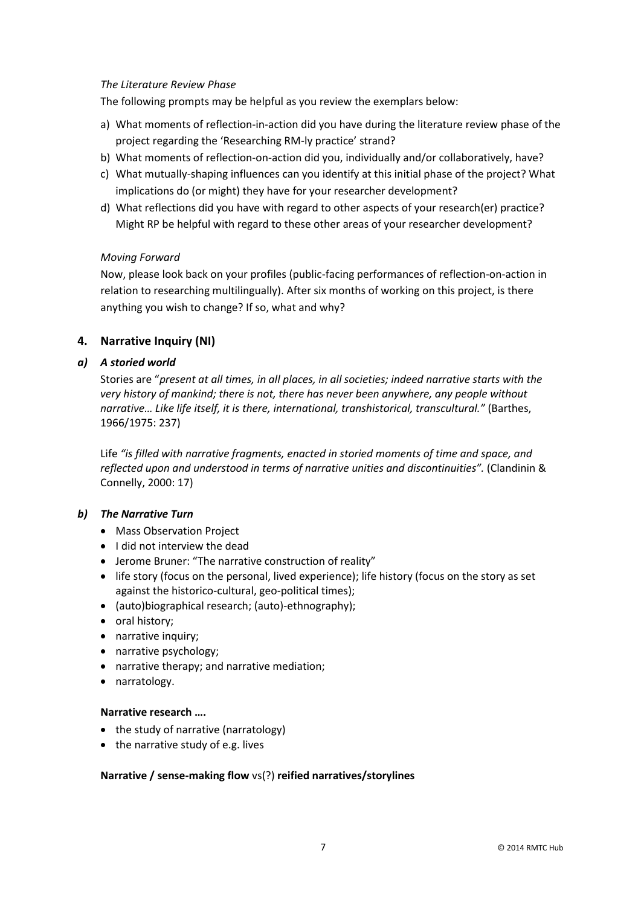## *The Literature Review Phase*

The following prompts may be helpful as you review the exemplars below:

- a) What moments of reflection-in-action did you have during the literature review phase of the project regarding the 'Researching RM-ly practice' strand?
- b) What moments of reflection-on-action did you, individually and/or collaboratively, have?
- c) What mutually-shaping influences can you identify at this initial phase of the project? What implications do (or might) they have for your researcher development?
- d) What reflections did you have with regard to other aspects of your research(er) practice? Might RP be helpful with regard to these other areas of your researcher development?

## *Moving Forward*

Now, please look back on your profiles (public-facing performances of reflection-on-action in relation to researching multilingually). After six months of working on this project, is there anything you wish to change? If so, what and why?

# **4. Narrative Inquiry (NI)**

## *a) A storied world*

Stories are "*present at all times, in all places, in all societies; indeed narrative starts with the very history of mankind; there is not, there has never been anywhere, any people without narrative… Like life itself, it is there, international, transhistorical, transcultural."* (Barthes, 1966/1975: 237)

Life *"is filled with narrative fragments, enacted in storied moments of time and space, and reflected upon and understood in terms of narrative unities and discontinuities".* (Clandinin & Connelly, 2000: 17)

## *b) The Narrative Turn*

- Mass Observation Project
- I did not interview the dead
- Jerome Bruner: "The narrative construction of reality"
- life story (focus on the personal, lived experience); life history (focus on the story as set against the historico-cultural, geo-political times);
- (auto)biographical research; (auto)-ethnography);
- oral history;
- narrative inquiry;
- narrative psychology;
- narrative therapy; and narrative mediation;
- narratology.

#### **Narrative research ….**

- the study of narrative (narratology)
- the narrative study of e.g. lives

## **Narrative / sense-making flow** vs(?) **reified narratives/storylines**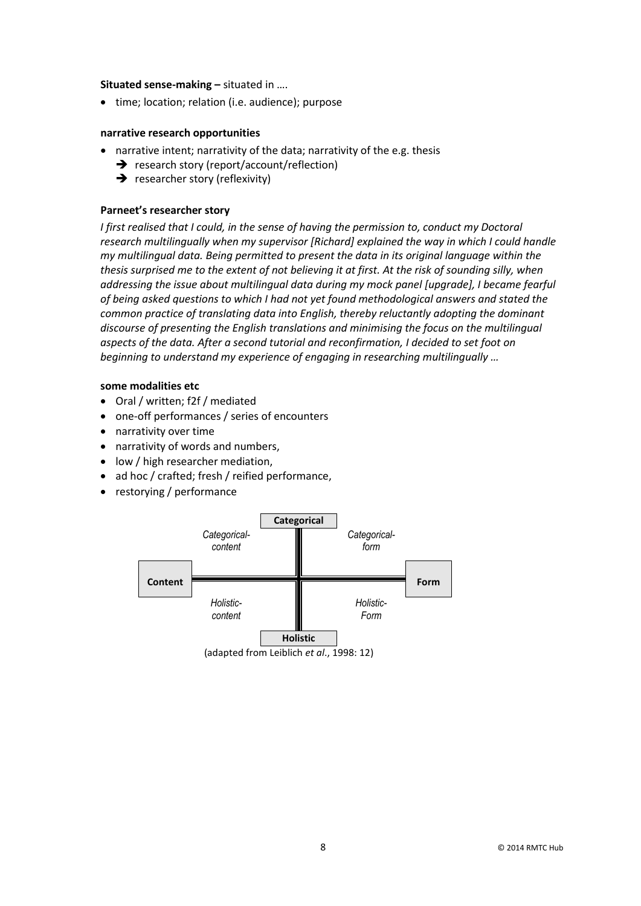#### **Situated sense-making –** situated in ….

• time; location; relation (i.e. audience); purpose

#### **narrative research opportunities**

- narrative intent; narrativity of the data; narrativity of the e.g. thesis
	- $\rightarrow$  research story (report/account/reflection)
	- $\rightarrow$  researcher story (reflexivity)

#### **Parneet's researcher story**

*I* first realised that I could, in the sense of having the permission to, conduct my Doctoral *research multilingually when my supervisor [Richard] explained the way in which I could handle my multilingual data. Being permitted to present the data in its original language within the thesis surprised me to the extent of not believing it at first. At the risk of sounding silly, when addressing the issue about multilingual data during my mock panel [upgrade], I became fearful of being asked questions to which I had not yet found methodological answers and stated the common practice of translating data into English, thereby reluctantly adopting the dominant discourse of presenting the English translations and minimising the focus on the multilingual aspects of the data. After a second tutorial and reconfirmation, I decided to set foot on beginning to understand my experience of engaging in researching multilingually …*

## **some modalities etc**

- Oral / written; f2f / mediated
- one-off performances / series of encounters
- narrativity over time
- narrativity of words and numbers,
- low / high researcher mediation,
- ad hoc / crafted; fresh / reified performance,
- restorying / performance